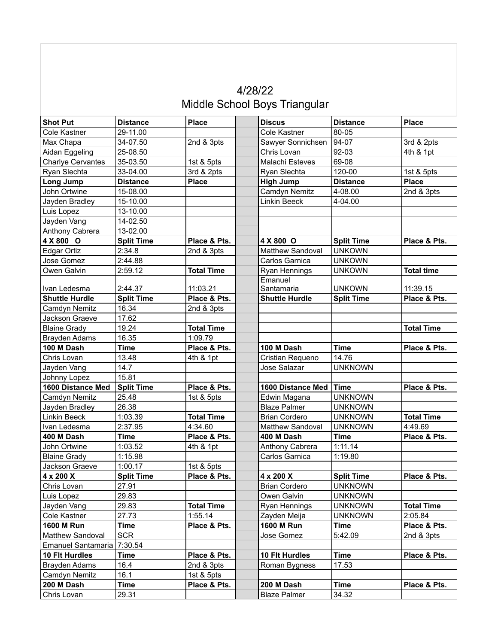| 4/28/22                       |  |
|-------------------------------|--|
| Middle School Boys Triangular |  |

| <b>Shot Put</b>          | <b>Distance</b>   | <b>Place</b>      | <b>Discus</b>         | <b>Distance</b>   | <b>Place</b>      |
|--------------------------|-------------------|-------------------|-----------------------|-------------------|-------------------|
| Cole Kastner             | 29-11.00          |                   | Cole Kastner          | 80-05             |                   |
| Max Chapa                | 34-07.50          | 2nd & 3pts        | Sawyer Sonnichsen     | 94-07             | 3rd & 2pts        |
| Aidan Eggeling           | 25-08.50          |                   | Chris Lovan           | 92-03             | 4th & 1pt         |
| <b>Charlye Cervantes</b> | 35-03.50          | 1st & 5pts        | Malachi Esteves       | 69-08             |                   |
| Ryan Slechta             | 33-04.00          | 3rd & 2pts        | Ryan Slechta          | 120-00            | 1st & 5pts        |
| Long Jump                | <b>Distance</b>   | <b>Place</b>      | <b>High Jump</b>      | <b>Distance</b>   | <b>Place</b>      |
| John Ortwine             | 15-08.00          |                   | Camdyn Nemitz         | 4-08.00           | 2nd & 3pts        |
| Jayden Bradley           | 15-10.00          |                   | Linkin Beeck          | 4-04.00           |                   |
| Luis Lopez               | 13-10.00          |                   |                       |                   |                   |
| Jayden Vang              | 14-02.50          |                   |                       |                   |                   |
| Anthony Cabrera          | 13-02.00          |                   |                       |                   |                   |
| 4 X 800 O                | <b>Split Time</b> | Place & Pts.      | 4 X 800 O             | <b>Split Time</b> | Place & Pts.      |
| Edgar Ortiz              | 2:34.8            | 2nd & 3pts        | Matthew Sandoval      | <b>UNKOWN</b>     |                   |
| Jose Gomez               | 2:44.88           |                   | Carlos Garnica        | <b>UNKOWN</b>     |                   |
| Owen Galvin              | 2:59.12           | <b>Total Time</b> | Ryan Hennings         | <b>UNKOWN</b>     | <b>Total time</b> |
|                          |                   |                   | Emanuel               |                   |                   |
| Ivan Ledesma             | 2:44.37           | 11:03.21          | Santamaria            | <b>UNKOWN</b>     | 11:39.15          |
| <b>Shuttle Hurdle</b>    | <b>Split Time</b> | Place & Pts.      | <b>Shuttle Hurdle</b> | <b>Split Time</b> | Place & Pts.      |
| Camdyn Nemitz            | 16.34             | 2nd & 3pts        |                       |                   |                   |
| Jackson Graeve           | 17.62             |                   |                       |                   |                   |
| <b>Blaine Grady</b>      | 19.24             | <b>Total Time</b> |                       |                   | <b>Total Time</b> |
| <b>Brayden Adams</b>     | 16.35             | 1:09.79           |                       |                   |                   |
| 100 M Dash               | Time              | Place & Pts.      | 100 M Dash            | <b>Time</b>       | Place & Pts.      |
| Chris Lovan              | 13.48             | 4th & 1pt         | Cristian Requeno      | 14.76             |                   |
| Jayden Vang              | 14.7              |                   | Jose Salazar          | <b>UNKNOWN</b>    |                   |
| Johnny Lopez             | 15.81             |                   |                       |                   |                   |
| 1600 Distance Med        | <b>Split Time</b> | Place & Pts.      | 1600 Distance Med     | <b>Time</b>       | Place & Pts.      |
| Camdyn Nemitz            | 25.48             | 1st & 5pts        | Edwin Magana          | <b>UNKNOWN</b>    |                   |
| Jayden Bradley           | 26.38             |                   | <b>Blaze Palmer</b>   | <b>UNKNOWN</b>    |                   |
| Linkin Beeck             | 1:03.39           | <b>Total Time</b> | <b>Brian Cordero</b>  | <b>UNKNOWN</b>    | <b>Total Time</b> |
| Ivan Ledesma             | 2:37.95           | 4:34.60           | Matthew Sandoval      | <b>UNKNOWN</b>    | 4:49.69           |
| 400 M Dash               | <b>Time</b>       | Place & Pts.      | 400 M Dash            | <b>Time</b>       | Place & Pts.      |
| John Ortwine             | 1:03.52           | 4th & 1pt         | Anthony Cabrera       | 1:11.14           |                   |
| <b>Blaine Grady</b>      | 1:15.98           |                   | Carlos Garnica        | 1:19.80           |                   |
| Jackson Graeve           | 1:00.17           | 1st & 5pts        |                       |                   |                   |
| 4 x 200 X                | <b>Split Time</b> | Place & Pts.      | 4 x 200 X             | <b>Split Time</b> | Place & Pts.      |
| Chris Lovan              | 27.91             |                   | <b>Brian Cordero</b>  | <b>UNKNOWN</b>    |                   |
| Luis Lopez               | 29.83             |                   | Owen Galvin           | <b>UNKNOWN</b>    |                   |
| Jayden Vang              | 29.83             | <b>Total Time</b> | Ryan Hennings         | <b>UNKNOWN</b>    | <b>Total Time</b> |
| Cole Kastner             | 27.73             | 1:55.14           | Zayden Meija          | <b>UNKNOWN</b>    | 2:05.84           |
| 1600 M Run               | Time              | Place & Pts.      | <b>1600 M Run</b>     | <b>Time</b>       | Place & Pts.      |
| Matthew Sandoval         | <b>SCR</b>        |                   | Jose Gomez            | 5:42.09           | 2nd & 3pts        |
| Emanuel Santamaria       | 7:30.54           |                   |                       |                   |                   |
| 10 Flt Hurdles           | <b>Time</b>       | Place & Pts.      | 10 Flt Hurdles        | <b>Time</b>       | Place & Pts.      |
| Brayden Adams            | 16.4              | 2nd & 3pts        | Roman Bygness         | 17.53             |                   |
| Camdyn Nemitz            | 16.1              | 1st & 5pts        |                       |                   |                   |
| 200 M Dash               | Time              | Place & Pts.      | 200 M Dash            | <b>Time</b>       | Place & Pts.      |
| Chris Lovan              | 29.31             |                   | <b>Blaze Palmer</b>   | 34.32             |                   |